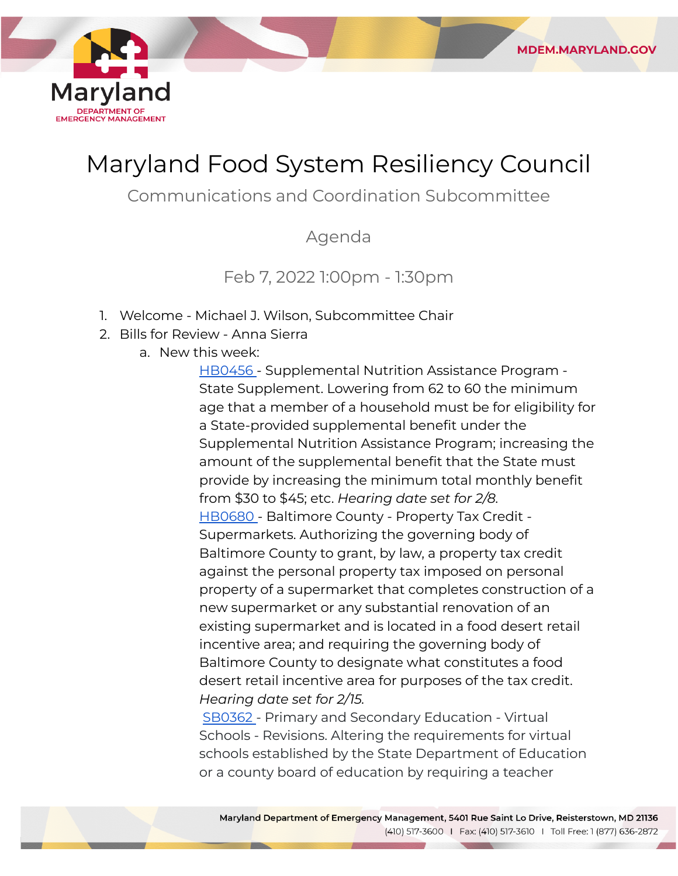

# Maryland Food System Resiliency Council

**MDEM.MARYLAND.GOV** 

Communications and Coordination Subcommittee

Agenda

## Feb 7, 2022 1:00pm - 1:30pm

- 1. Welcome Michael J. Wilson, Subcommittee Chair
- 2. Bills for Review Anna Sierra
	- a. New this week:

[HB0456](https://mgaleg.maryland.gov/mgawebsite/Legislation/Details/hb0456) - Supplemental Nutrition Assistance Program - State Supplement. Lowering from 62 to 60 the minimum age that a member of a household must be for eligibility for a State-provided supplemental benefit under the Supplemental Nutrition Assistance Program; increasing the amount of the supplemental benefit that the State must provide by increasing the minimum total monthly benefit from \$30 to \$45; etc. *Hearing date set for 2/8.* [HB0680](https://mgaleg.maryland.gov/mgawebsite/Legislation/Details/hb0680) - Baltimore County - Property Tax Credit - Supermarkets. Authorizing the governing body of Baltimore County to grant, by law, a property tax credit against the personal property tax imposed on personal property of a supermarket that completes construction of a new supermarket or any substantial renovation of an existing supermarket and is located in a food desert retail incentive area; and requiring the governing body of Baltimore County to designate what constitutes a food desert retail incentive area for purposes of the tax credit.  *Hearing date set for 2/15.*

[SB0362](https://mgaleg.maryland.gov/mgawebsite/Legislation/Details/sb0362) - Primary and Secondary Education - Virtual Schools - Revisions. Altering the requirements for virtual schools established by the State Department of Education or a county board of education by requiring a teacher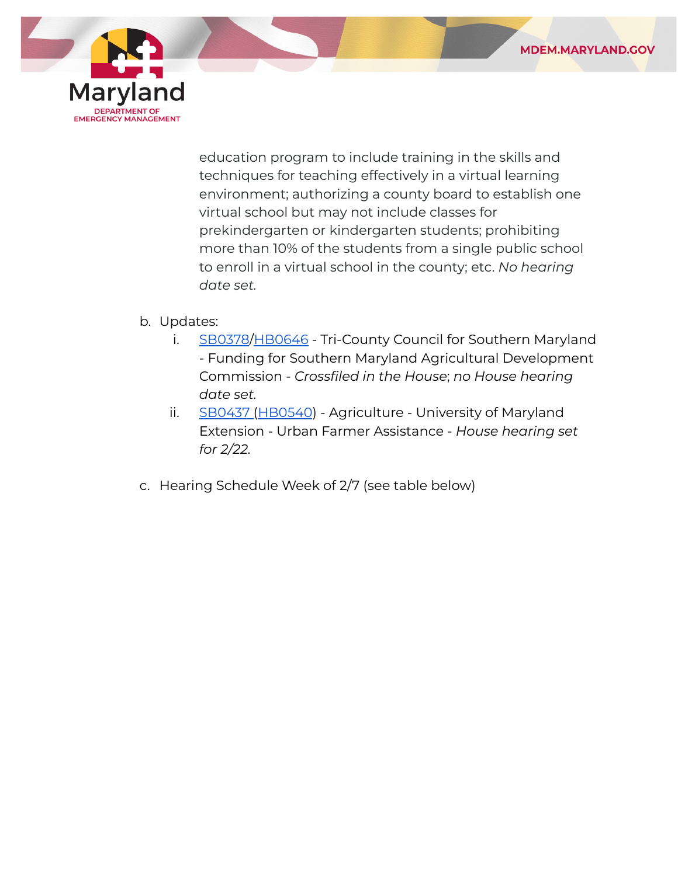

 education program to include training in the skills and techniques for teaching effectively in a virtual learning environment; authorizing a county board to establish one virtual school but may not include classes for prekindergarten or kindergarten students; prohibiting more than 10% of the students from a single public school to enroll in a virtual school in the county; etc. *No hearing date set.*

## b. Updates:

- i. [SB0378](https://mgaleg.maryland.gov/mgawebsite/Legislation/Details/sb0378?ys=2022RS)[/HB0646](https://mgaleg.maryland.gov/mgawebsite/Legislation/Details/HB0646?ys=2022RS) Tri-County Council for Southern Maryland - Funding for Southern Maryland Agricultural Development  Commission - *Crossfiled in the House*; *no House hearing date set.*
- ii. [SB0437](https://mgaleg.maryland.gov/mgawebsite/Legislation/Details/sb0437?ys=2022RS) ([HB0540](https://mgaleg.maryland.gov/mgawebsite/Legislation/Details/hb0540?ys=2022RS)) Agriculture University of Maryland Extension - Urban Farmer Assistance - *House hearing set for 2/22.*
- c. Hearing Schedule Week of 2/7 (see table below)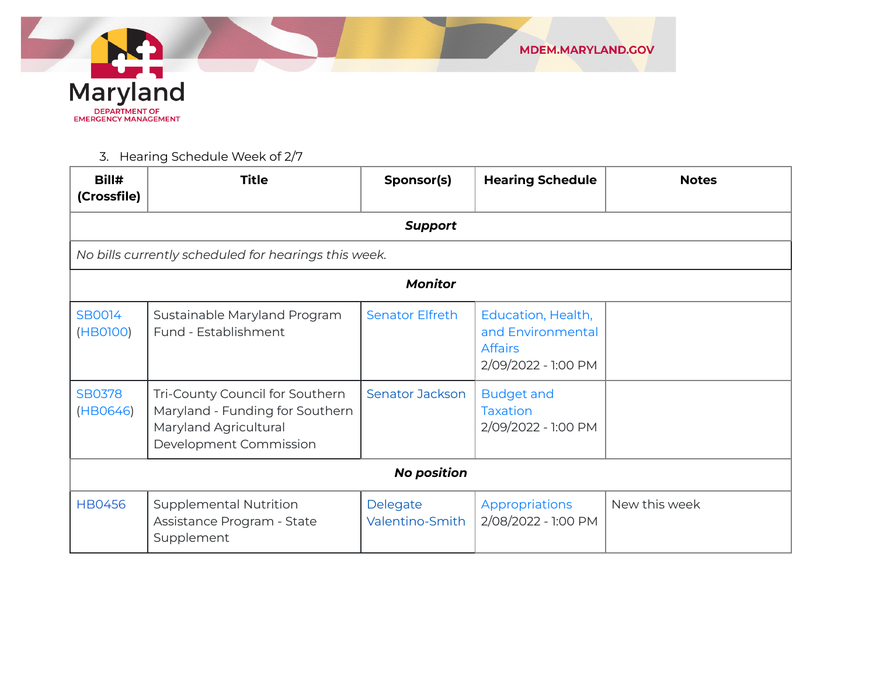

3. Hearing Schedule Week of 2/7

| Bill#<br>(Crossfile)      | <b>Title</b>                                                                                                          | Sponsor(s)                  | <b>Hearing Schedule</b>                                                          | <b>Notes</b>  |  |
|---------------------------|-----------------------------------------------------------------------------------------------------------------------|-----------------------------|----------------------------------------------------------------------------------|---------------|--|
|                           |                                                                                                                       | <b>Support</b>              |                                                                                  |               |  |
|                           | No bills currently scheduled for hearings this week.                                                                  |                             |                                                                                  |               |  |
|                           |                                                                                                                       | <b>Monitor</b>              |                                                                                  |               |  |
| SB0014<br>(HB0100)        | Sustainable Maryland Program<br>Fund - Establishment                                                                  | <b>Senator Elfreth</b>      | Education, Health,<br>and Environmental<br><b>Affairs</b><br>2/09/2022 - 1:00 PM |               |  |
| <b>SB0378</b><br>(HB0646) | Tri-County Council for Southern<br>Maryland - Funding for Southern<br>Maryland Agricultural<br>Development Commission | <b>Senator Jackson</b>      | <b>Budget and</b><br><b>Taxation</b><br>2/09/2022 - 1:00 PM                      |               |  |
| <b>No position</b>        |                                                                                                                       |                             |                                                                                  |               |  |
| <b>HB0456</b>             | <b>Supplemental Nutrition</b><br>Assistance Program - State<br>Supplement                                             | Delegate<br>Valentino-Smith | Appropriations<br>2/08/2022 - 1:00 PM                                            | New this week |  |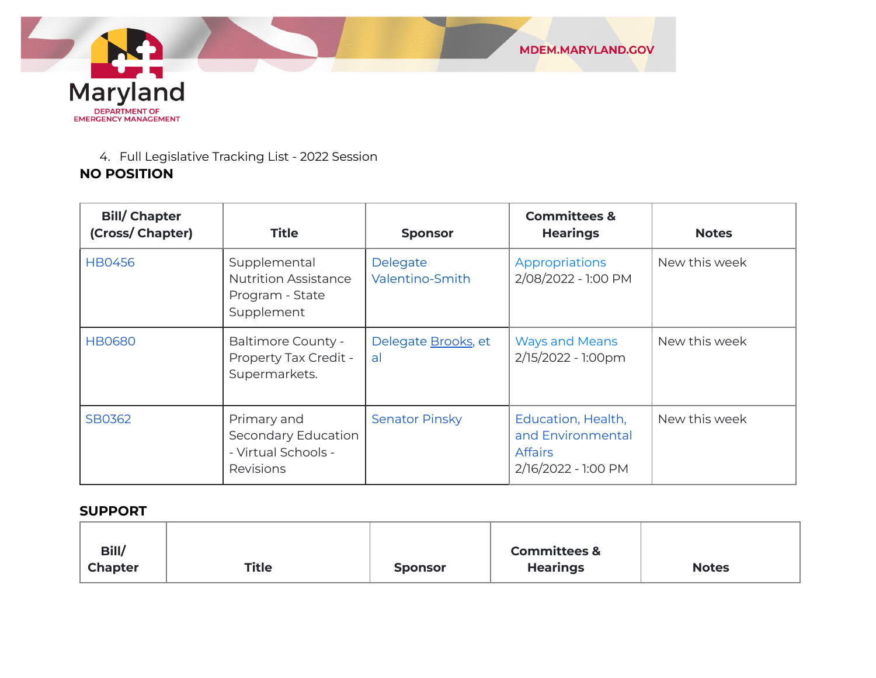

#### 4. Full Legislative Tracking List - 2022 Session

## **NO POSITION**

| <b>Bill/Chapter</b><br>(Cross/ Chapter) | <b>Title</b>                                                                 | <b>Sponsor</b>              | <b>Committees &amp;</b><br><b>Hearings</b>                                       | <b>Notes</b>  |
|-----------------------------------------|------------------------------------------------------------------------------|-----------------------------|----------------------------------------------------------------------------------|---------------|
| <b>HB0456</b>                           | Supplemental<br><b>Nutrition Assistance</b><br>Program - State<br>Supplement | Delegate<br>Valentino-Smith | Appropriations<br>2/08/2022 - 1:00 PM                                            | New this week |
| <b>HB0680</b>                           | <b>Baltimore County -</b><br>Property Tax Credit -<br>Supermarkets.          | Delegate Brooks, et<br>al   | <b>Ways and Means</b><br>2/15/2022 - 1:00pm                                      | New this week |
| SB0362                                  | Primary and<br>Secondary Education<br>- Virtual Schools -<br>Revisions       | <b>Senator Pinsky</b>       | Education, Health,<br>and Environmental<br><b>Affairs</b><br>2/16/2022 - 1:00 PM | New this week |

#### **SUPPORT**

| Bill/          |              |                | <b>Committees &amp;</b> |              |
|----------------|--------------|----------------|-------------------------|--------------|
| <b>Chapter</b> | <b>Title</b> | <b>Sponsor</b> | <b>Hearings</b>         | <b>Notes</b> |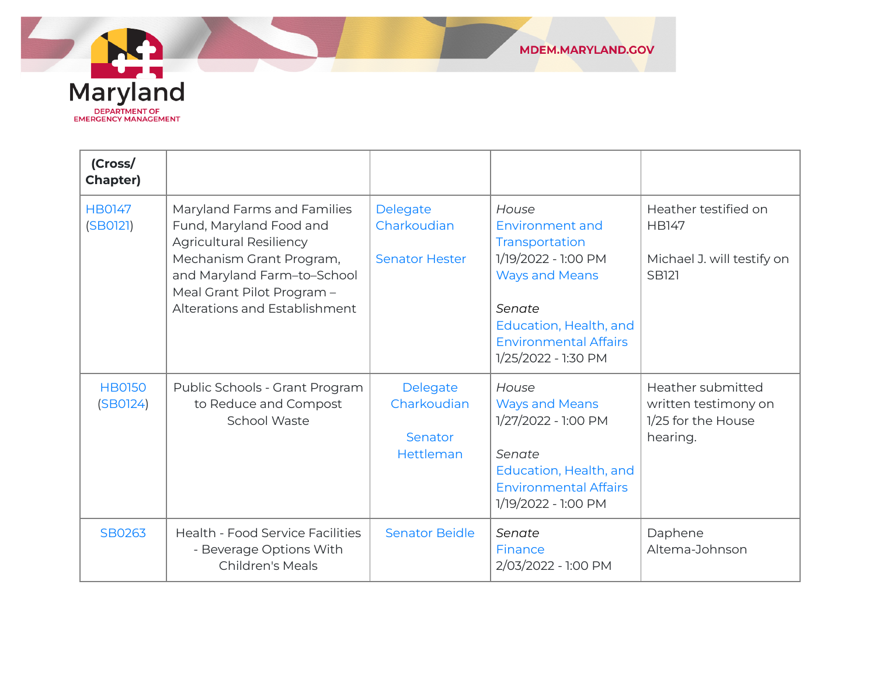

| (Cross/<br><b>Chapter)</b> |                                                                                                                                                                                                                    |                                                  |                                                                                                                                                                                       |                                                                                    |
|----------------------------|--------------------------------------------------------------------------------------------------------------------------------------------------------------------------------------------------------------------|--------------------------------------------------|---------------------------------------------------------------------------------------------------------------------------------------------------------------------------------------|------------------------------------------------------------------------------------|
| <b>HB0147</b><br>(SBO121)  | Maryland Farms and Families<br>Fund, Maryland Food and<br><b>Agricultural Resiliency</b><br>Mechanism Grant Program,<br>and Maryland Farm-to-School<br>Meal Grant Pilot Program -<br>Alterations and Establishment | Delegate<br>Charkoudian<br><b>Senator Hester</b> | House<br>Environment and<br>Transportation<br>1/19/2022 - 1:00 PM<br><b>Ways and Means</b><br>Senate<br>Education, Health, and<br><b>Environmental Affairs</b><br>1/25/2022 - 1:30 PM | Heather testified on<br><b>HB147</b><br>Michael J. will testify on<br><b>SB121</b> |
| <b>HB0150</b><br>(SBO124)  | Public Schools - Grant Program<br>to Reduce and Compost<br>School Waste                                                                                                                                            | Delegate<br>Charkoudian<br>Senator<br>Hettleman  | House<br><b>Ways and Means</b><br>1/27/2022 - 1:00 PM<br>Senate<br>Education, Health, and<br><b>Environmental Affairs</b><br>1/19/2022 - 1:00 PM                                      | Heather submitted<br>written testimony on<br>1/25 for the House<br>hearing.        |
| SB0263                     | <b>Health - Food Service Facilities</b><br>- Beverage Options With<br><b>Children's Meals</b>                                                                                                                      | <b>Senator Beidle</b>                            | Senate<br>Finance<br>2/03/2022 - 1:00 PM                                                                                                                                              | Daphene<br>Altema-Johnson                                                          |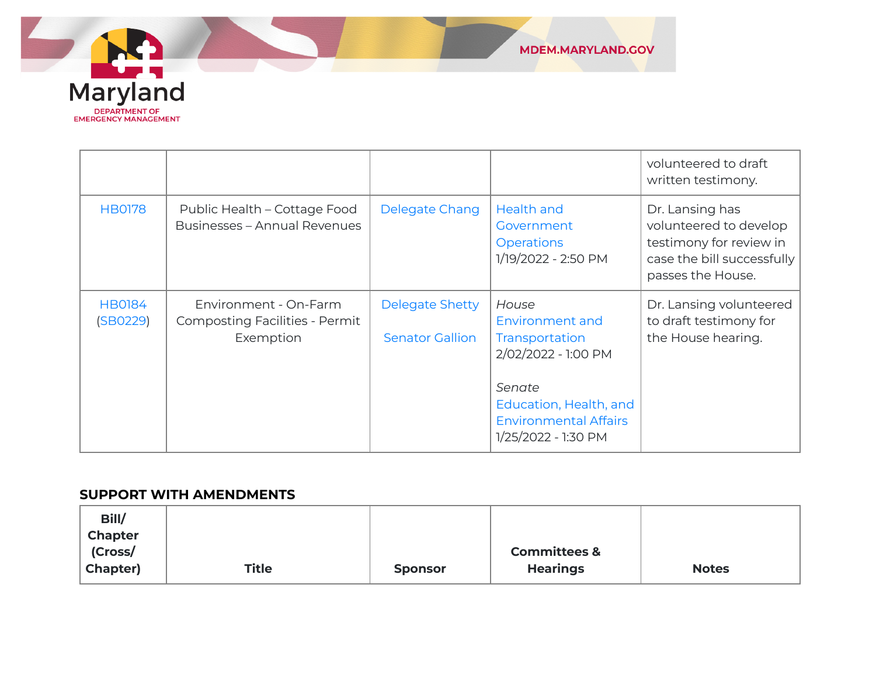

|                           |                                                                             |                                                  |                                                                                                                                                              | volunteered to draft<br>written testimony.                                                                              |
|---------------------------|-----------------------------------------------------------------------------|--------------------------------------------------|--------------------------------------------------------------------------------------------------------------------------------------------------------------|-------------------------------------------------------------------------------------------------------------------------|
| <b>HB0178</b>             | Public Health - Cottage Food<br><b>Businesses - Annual Revenues</b>         | Delegate Chang                                   | <b>Health and</b><br>Government<br><b>Operations</b><br>1/19/2022 - 2:50 PM                                                                                  | Dr. Lansing has<br>volunteered to develop<br>testimony for review in<br>case the bill successfully<br>passes the House. |
| <b>HB0184</b><br>(SB0229) | Environment - On-Farm<br><b>Composting Facilities - Permit</b><br>Exemption | <b>Delegate Shetty</b><br><b>Senator Gallion</b> | House<br>Environment and<br>Transportation<br>2/02/2022 - 1:00 PM<br>Senate<br>Education, Health, and<br><b>Environmental Affairs</b><br>1/25/2022 - 1:30 PM | Dr. Lansing volunteered<br>to draft testimony for<br>the House hearing.                                                 |

#### **SUPPORT WITH AMENDMENTS**

| Bill/<br><b>Chapter</b> |              |                |                         |              |
|-------------------------|--------------|----------------|-------------------------|--------------|
| (Cross/                 |              |                | <b>Committees &amp;</b> |              |
| <b>Chapter)</b>         | <b>Title</b> | <b>Sponsor</b> | <b>Hearings</b>         | <b>Notes</b> |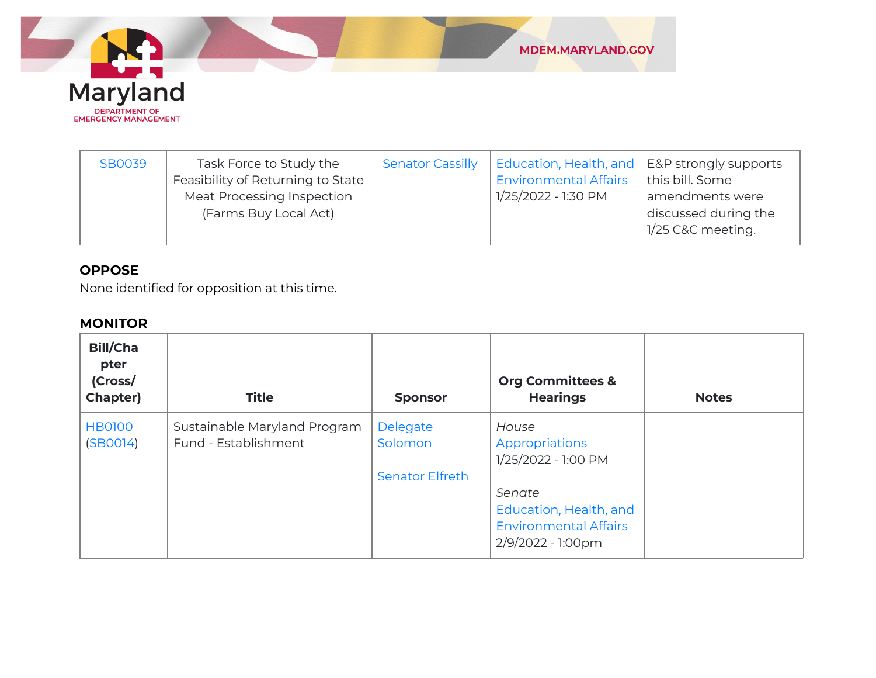

| <b>SB0039</b> | Task Force to Study the<br>Feasibility of Returning to State<br>Meat Processing Inspection<br>(Farms Buy Local Act) | <b>Senator Cassilly</b> | Education, Health, and   E&P strongly supports<br><b>Environmental Affairs</b><br>1/25/2022 - 1:30 PM | this bill. Some<br>amendments were<br>discussed during the<br>1/25 C&C meeting. |
|---------------|---------------------------------------------------------------------------------------------------------------------|-------------------------|-------------------------------------------------------------------------------------------------------|---------------------------------------------------------------------------------|
|---------------|---------------------------------------------------------------------------------------------------------------------|-------------------------|-------------------------------------------------------------------------------------------------------|---------------------------------------------------------------------------------|

### **OPPOSE**

None identified for opposition at this time.

## **MONITOR**

| <b>Bill/Cha</b><br>pter<br>(Cross/<br>Chapter) | <b>Title</b>                                         | <b>Sponsor</b>                                | <b>Org Committees &amp;</b><br><b>Hearings</b>                                        | <b>Notes</b> |
|------------------------------------------------|------------------------------------------------------|-----------------------------------------------|---------------------------------------------------------------------------------------|--------------|
| <b>HB0100</b><br>(SBOO14)                      | Sustainable Maryland Program<br>Fund - Establishment | Delegate<br>Solomon<br><b>Senator Elfreth</b> | House<br>Appropriations<br>1/25/2022 - 1:00 PM                                        |              |
|                                                |                                                      |                                               | Senate<br>Education, Health, and<br><b>Environmental Affairs</b><br>2/9/2022 - 1:00pm |              |